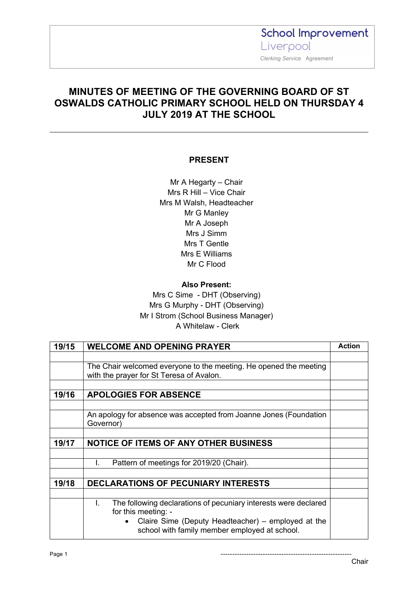**School Improvement** Liverpool  *Clerking Service* Agreement

### **MINUTES OF MEETING OF THE GOVERNING BOARD OF ST OSWALDS CATHOLIC PRIMARY SCHOOL HELD ON THURSDAY 4 JULY 2019 AT THE SCHOOL**

#### **PRESENT**

Mr A Hegarty – Chair Mrs R Hill – Vice Chair Mrs M Walsh, Headteacher Mr G Manley Mr A Joseph Mrs J Simm Mrs T Gentle Mrs E Williams Mr C Flood

#### **Also Present:**

Mrs C Sime - DHT (Observing) Mrs G Murphy - DHT (Observing) Mr I Strom (School Business Manager) A Whitelaw - Clerk

| 19/15 | <b>WELCOME AND OPENING PRAYER</b>                                                                                                                                                                                | <b>Action</b> |
|-------|------------------------------------------------------------------------------------------------------------------------------------------------------------------------------------------------------------------|---------------|
|       |                                                                                                                                                                                                                  |               |
|       | The Chair welcomed everyone to the meeting. He opened the meeting<br>with the prayer for St Teresa of Avalon.                                                                                                    |               |
|       |                                                                                                                                                                                                                  |               |
| 19/16 | <b>APOLOGIES FOR ABSENCE</b>                                                                                                                                                                                     |               |
|       |                                                                                                                                                                                                                  |               |
|       | An apology for absence was accepted from Joanne Jones (Foundation<br>Governor)                                                                                                                                   |               |
|       |                                                                                                                                                                                                                  |               |
| 19/17 | <b>NOTICE OF ITEMS OF ANY OTHER BUSINESS</b>                                                                                                                                                                     |               |
|       |                                                                                                                                                                                                                  |               |
|       | Pattern of meetings for 2019/20 (Chair).<br>Ι.                                                                                                                                                                   |               |
|       |                                                                                                                                                                                                                  |               |
| 19/18 | <b>DECLARATIONS OF PECUNIARY INTERESTS</b>                                                                                                                                                                       |               |
|       |                                                                                                                                                                                                                  |               |
|       | The following declarations of pecuniary interests were declared<br>L.<br>for this meeting: -<br>Claire Sime (Deputy Headteacher) – employed at the<br>$\bullet$<br>school with family member employed at school. |               |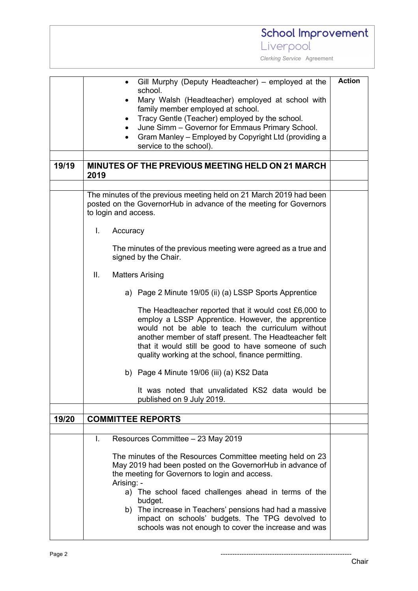### **School Improvement** Liverpool  *Clerking Service* Agreement **Action** • Gill Murphy (Deputy Headteacher) – employed at the school. Mary Walsh (Headteacher) employed at school with family member employed at school. • Tracy Gentle (Teacher) employed by the school. • June Simm – Governor for Emmaus Primary School. • Gram Manley – Employed by Copyright Ltd (providing a service to the school). **19/19 MINUTES OF THE PREVIOUS MEETING HELD ON 21 MARCH 2019** The minutes of the previous meeting held on 21 March 2019 had been posted on the GovernorHub in advance of the meeting for Governors to login and access. I. Accuracy The minutes of the previous meeting were agreed as a true and signed by the Chair. II. Matters Arising a) Page 2 Minute 19/05 (ii) (a) LSSP Sports Apprentice The Headteacher reported that it would cost £6,000 to employ a LSSP Apprentice. However, the apprentice would not be able to teach the curriculum without another member of staff present. The Headteacher felt that it would still be good to have someone of such quality working at the school, finance permitting. b) Page 4 Minute 19/06 (iii) (a) KS2 Data It was noted that unvalidated KS2 data would be published on 9 July 2019. **19/20 COMMITTEE REPORTS** I. Resources Committee – 23 May 2019 The minutes of the Resources Committee meeting held on 23 May 2019 had been posted on the GovernorHub in advance of the meeting for Governors to login and access. Arising: a) The school faced challenges ahead in terms of the budget. b) The increase in Teachers' pensions had had a massive impact on schools' budgets. The TPG devolved to schools was not enough to cover the increase and was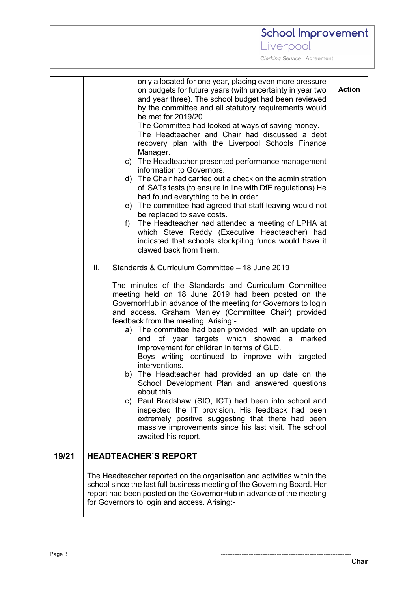# School Improvement

Liverpool

 *Clerking Service* Agreement

|       | only allocated for one year, placing even more pressure<br>on budgets for future years (with uncertainty in year two<br>and year three). The school budget had been reviewed<br>by the committee and all statutory requirements would<br>be met for 2019/20.<br>The Committee had looked at ways of saving money.<br>The Headteacher and Chair had discussed a debt<br>recovery plan with the Liverpool Schools Finance<br>Manager.<br>c) The Headteacher presented performance management<br>information to Governors.<br>d) The Chair had carried out a check on the administration<br>of SATs tests (to ensure in line with DfE regulations) He<br>had found everything to be in order.<br>e) The committee had agreed that staff leaving would not<br>be replaced to save costs.<br>The Headteacher had attended a meeting of LPHA at<br>f)<br>which Steve Reddy (Executive Headteacher) had<br>indicated that schools stockpiling funds would have it<br>clawed back from them.<br>Standards & Curriculum Committee - 18 June 2019<br>Ш.<br>The minutes of the Standards and Curriculum Committee<br>meeting held on 18 June 2019 had been posted on the<br>GovernorHub in advance of the meeting for Governors to login<br>and access. Graham Manley (Committee Chair) provided<br>feedback from the meeting. Arising:-<br>a) The committee had been provided with an update on<br>end of year targets which showed a marked<br>improvement for children in terms of GLD.<br>Boys writing continued to improve with targeted<br>interventions.<br>b) The Headteacher had provided an up date on the<br>School Development Plan and answered questions<br>about this.<br>Paul Bradshaw (SIO, ICT) had been into school and<br>C)<br>inspected the IT provision. His feedback had been<br>extremely positive suggesting that there had been<br>massive improvements since his last visit. The school<br>awaited his report. | <b>Action</b> |
|-------|---------------------------------------------------------------------------------------------------------------------------------------------------------------------------------------------------------------------------------------------------------------------------------------------------------------------------------------------------------------------------------------------------------------------------------------------------------------------------------------------------------------------------------------------------------------------------------------------------------------------------------------------------------------------------------------------------------------------------------------------------------------------------------------------------------------------------------------------------------------------------------------------------------------------------------------------------------------------------------------------------------------------------------------------------------------------------------------------------------------------------------------------------------------------------------------------------------------------------------------------------------------------------------------------------------------------------------------------------------------------------------------------------------------------------------------------------------------------------------------------------------------------------------------------------------------------------------------------------------------------------------------------------------------------------------------------------------------------------------------------------------------------------------------------------------------------------------------------------------------------------------------------------------------------------------|---------------|
|       |                                                                                                                                                                                                                                                                                                                                                                                                                                                                                                                                                                                                                                                                                                                                                                                                                                                                                                                                                                                                                                                                                                                                                                                                                                                                                                                                                                                                                                                                                                                                                                                                                                                                                                                                                                                                                                                                                                                                 |               |
| 19/21 | <b>HEADTEACHER'S REPORT</b>                                                                                                                                                                                                                                                                                                                                                                                                                                                                                                                                                                                                                                                                                                                                                                                                                                                                                                                                                                                                                                                                                                                                                                                                                                                                                                                                                                                                                                                                                                                                                                                                                                                                                                                                                                                                                                                                                                     |               |
|       |                                                                                                                                                                                                                                                                                                                                                                                                                                                                                                                                                                                                                                                                                                                                                                                                                                                                                                                                                                                                                                                                                                                                                                                                                                                                                                                                                                                                                                                                                                                                                                                                                                                                                                                                                                                                                                                                                                                                 |               |
|       | The Headteacher reported on the organisation and activities within the<br>school since the last full business meeting of the Governing Board. Her<br>report had been posted on the GovernorHub in advance of the meeting<br>for Governors to login and access. Arising:-                                                                                                                                                                                                                                                                                                                                                                                                                                                                                                                                                                                                                                                                                                                                                                                                                                                                                                                                                                                                                                                                                                                                                                                                                                                                                                                                                                                                                                                                                                                                                                                                                                                        |               |

Page 3 --------------------------------------------------------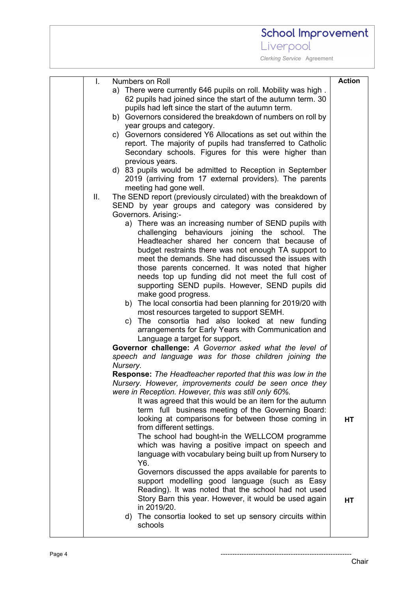# School Improvement Liverpool

| I.  | Numbers on Roll                                                      | <b>Action</b> |
|-----|----------------------------------------------------------------------|---------------|
|     | a) There were currently 646 pupils on roll. Mobility was high.       |               |
|     | 62 pupils had joined since the start of the autumn term. 30          |               |
|     | pupils had left since the start of the autumn term.                  |               |
|     | b) Governors considered the breakdown of numbers on roll by          |               |
|     | year groups and category.                                            |               |
|     | c) Governors considered Y6 Allocations as set out within the         |               |
|     | report. The majority of pupils had transferred to Catholic           |               |
|     | Secondary schools. Figures for this were higher than                 |               |
|     | previous years.                                                      |               |
|     | d) 83 pupils would be admitted to Reception in September             |               |
|     | 2019 (arriving from 17 external providers). The parents              |               |
|     | meeting had gone well.                                               |               |
| ΙΙ. | The SEND report (previously circulated) with the breakdown of        |               |
|     | SEND by year groups and category was considered by                   |               |
|     | Governors. Arising:-                                                 |               |
|     | a) There was an increasing number of SEND pupils with                |               |
|     | challenging behaviours joining the school. The                       |               |
|     | Headteacher shared her concern that because of                       |               |
|     | budget restraints there was not enough TA support to                 |               |
|     | meet the demands. She had discussed the issues with                  |               |
|     | those parents concerned. It was noted that higher                    |               |
|     | needs top up funding did not meet the full cost of                   |               |
|     | supporting SEND pupils. However, SEND pupils did                     |               |
|     | make good progress.                                                  |               |
|     | b) The local consortia had been planning for 2019/20 with            |               |
|     | most resources targeted to support SEMH.                             |               |
|     | c) The consortia had also looked at new funding                      |               |
|     | arrangements for Early Years with Communication and                  |               |
|     | Language a target for support.                                       |               |
|     | Governor challenge: A Governor asked what the level of               |               |
|     | speech and language was for those children joining the               |               |
|     | Nursery.                                                             |               |
|     | <b>Response:</b> The Headteacher reported that this was low in the   |               |
|     | Nursery. However, improvements could be seen once they               |               |
|     | were in Reception. However, this was still only 60%.                 |               |
|     | It was agreed that this would be an item for the autumn              |               |
|     | term full business meeting of the Governing Board:                   |               |
|     | looking at comparisons for between those coming in                   | <b>HT</b>     |
|     | from different settings.                                             |               |
|     | The school had bought-in the WELLCOM programme                       |               |
|     | which was having a positive impact on speech and                     |               |
|     | language with vocabulary being built up from Nursery to              |               |
|     | Y6.                                                                  |               |
|     | Governors discussed the apps available for parents to                |               |
|     | support modelling good language (such as Easy                        |               |
|     | Reading). It was noted that the school had not used                  |               |
|     | Story Barn this year. However, it would be used again                | HT            |
|     | in 2019/20.                                                          |               |
|     | d) The consortia looked to set up sensory circuits within<br>schools |               |
|     |                                                                      |               |
|     |                                                                      |               |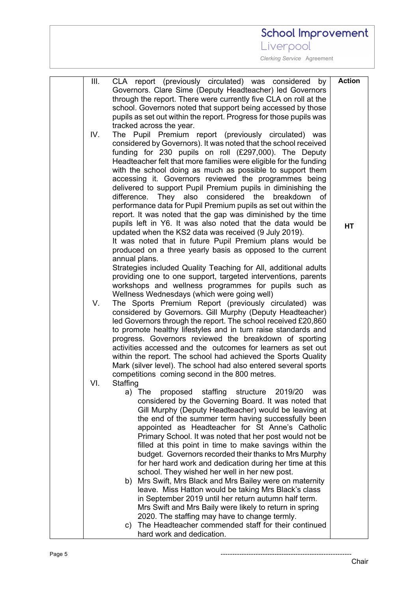# School Improvement

Liverpool

| Governors. Clare Sime (Deputy Headteacher) led Governors<br>through the report. There were currently five CLA on roll at the |    |
|------------------------------------------------------------------------------------------------------------------------------|----|
|                                                                                                                              |    |
|                                                                                                                              |    |
| school. Governors noted that support being accessed by those                                                                 |    |
| pupils as set out within the report. Progress for those pupils was                                                           |    |
| tracked across the year.                                                                                                     |    |
| The Pupil Premium report (previously circulated) was<br>IV.                                                                  |    |
| considered by Governors). It was noted that the school received                                                              |    |
| funding for 230 pupils on roll (£297,000). The Deputy                                                                        |    |
| Headteacher felt that more families were eligible for the funding                                                            |    |
| with the school doing as much as possible to support them                                                                    |    |
| accessing it. Governors reviewed the programmes being                                                                        |    |
| delivered to support Pupil Premium pupils in diminishing the                                                                 |    |
| difference. They also considered the<br>breakdown                                                                            | of |
| performance data for Pupil Premium pupils as set out within the                                                              |    |
| report. It was noted that the gap was diminished by the time                                                                 |    |
| pupils left in Y6. It was also noted that the data would be                                                                  | HT |
| updated when the KS2 data was received (9 July 2019).                                                                        |    |
| It was noted that in future Pupil Premium plans would be                                                                     |    |
| produced on a three yearly basis as opposed to the current                                                                   |    |
| annual plans.                                                                                                                |    |
| Strategies included Quality Teaching for All, additional adults                                                              |    |
| providing one to one support, targeted interventions, parents                                                                |    |
| workshops and wellness programmes for pupils such as                                                                         |    |
| Wellness Wednesdays (which were going well)                                                                                  |    |
| The Sports Premium Report (previously circulated) was<br>V.                                                                  |    |
| considered by Governors. Gill Murphy (Deputy Headteacher)<br>led Governors through the report. The school received £20,860   |    |
| to promote healthy lifestyles and in turn raise standards and                                                                |    |
| progress. Governors reviewed the breakdown of sporting                                                                       |    |
| activities accessed and the outcomes for learners as set out                                                                 |    |
| within the report. The school had achieved the Sports Quality                                                                |    |
| Mark (silver level). The school had also entered several sports                                                              |    |
| competitions coming second in the 800 metres.                                                                                |    |
| VI.<br>Staffing                                                                                                              |    |
| a) The proposed staffing structure 2019/20 was                                                                               |    |
| considered by the Governing Board. It was noted that                                                                         |    |
| Gill Murphy (Deputy Headteacher) would be leaving at                                                                         |    |
| the end of the summer term having successfully been                                                                          |    |
| appointed as Headteacher for St Anne's Catholic                                                                              |    |
| Primary School. It was noted that her post would not be                                                                      |    |
| filled at this point in time to make savings within the                                                                      |    |
| budget. Governors recorded their thanks to Mrs Murphy                                                                        |    |
| for her hard work and dedication during her time at this                                                                     |    |
| school. They wished her well in her new post.                                                                                |    |
| b) Mrs Swift, Mrs Black and Mrs Bailey were on maternity<br>leave. Miss Hatton would be taking Mrs Black's class             |    |
| in September 2019 until her return autumn half term.                                                                         |    |
| Mrs Swift and Mrs Baily were likely to return in spring                                                                      |    |
| 2020. The staffing may have to change termly.                                                                                |    |
| The Headteacher commended staff for their continued<br>C)                                                                    |    |
| hard work and dedication.                                                                                                    |    |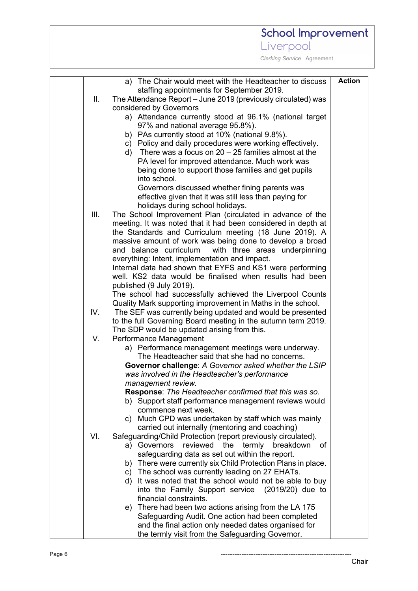# School Improvement Liverpool

|      | a) The Chair would meet with the Headteacher to discuss                                             | <b>Action</b> |
|------|-----------------------------------------------------------------------------------------------------|---------------|
|      | staffing appointments for September 2019.                                                           |               |
| Ш.   | The Attendance Report – June 2019 (previously circulated) was                                       |               |
|      | considered by Governors                                                                             |               |
|      | a) Attendance currently stood at 96.1% (national target                                             |               |
|      | 97% and national average 95.8%).                                                                    |               |
|      | b) PAs currently stood at 10% (national 9.8%).                                                      |               |
|      | c) Policy and daily procedures were working effectively.                                            |               |
|      | d) There was a focus on $20 - 25$ families almost at the                                            |               |
|      | PA level for improved attendance. Much work was                                                     |               |
|      | being done to support those families and get pupils                                                 |               |
|      | into school.                                                                                        |               |
|      | Governors discussed whether fining parents was                                                      |               |
|      | effective given that it was still less than paying for                                              |               |
|      | holidays during school holidays.                                                                    |               |
| III. | The School Improvement Plan (circulated in advance of the                                           |               |
|      | meeting. It was noted that it had been considered in depth at                                       |               |
|      | the Standards and Curriculum meeting (18 June 2019). A                                              |               |
|      | massive amount of work was being done to develop a broad                                            |               |
|      | and balance curriculum<br>with three areas underpinning                                             |               |
|      | everything: Intent, implementation and impact.                                                      |               |
|      | Internal data had shown that EYFS and KS1 were performing                                           |               |
|      | well. KS2 data would be finalised when results had been                                             |               |
|      | published (9 July 2019).                                                                            |               |
|      | The school had successfully achieved the Liverpool Counts                                           |               |
|      | Quality Mark supporting improvement in Maths in the school.                                         |               |
| IV.  | The SEF was currently being updated and would be presented                                          |               |
|      | to the full Governing Board meeting in the autumn term 2019.                                        |               |
|      | The SDP would be updated arising from this.                                                         |               |
| V.   | Performance Management                                                                              |               |
|      | a) Performance management meetings were underway.<br>The Headteacher said that she had no concerns. |               |
|      | Governor challenge: A Governor asked whether the LSIP                                               |               |
|      | was involved in the Headteacher's performance                                                       |               |
|      | management review.                                                                                  |               |
|      | <b>Response:</b> The Headteacher confirmed that this was so.                                        |               |
|      | b) Support staff performance management reviews would                                               |               |
|      | commence next week.                                                                                 |               |
|      | c) Much CPD was undertaken by staff which was mainly                                                |               |
|      | carried out internally (mentoring and coaching)                                                     |               |
| VI.  | Safeguarding/Child Protection (report previously circulated).                                       |               |
|      | reviewed the<br>a) Governors<br>termly breakdown<br>οf                                              |               |
|      | safeguarding data as set out within the report.                                                     |               |
|      | b) There were currently six Child Protection Plans in place.                                        |               |
|      | c) The school was currently leading on 27 EHATs.                                                    |               |
|      | It was noted that the school would not be able to buy<br>d)                                         |               |
|      | into the Family Support service (2019/20) due to                                                    |               |
|      | financial constraints.                                                                              |               |
|      | e) There had been two actions arising from the LA 175                                               |               |
|      | Safeguarding Audit. One action had been completed                                                   |               |
|      | and the final action only needed dates organised for                                                |               |
|      | the termly visit from the Safeguarding Governor.                                                    |               |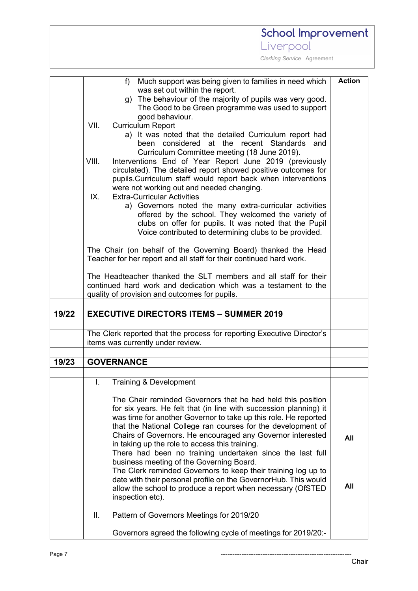|       | School Improvement                                                                                                                                                                                                                                                                     |               |
|-------|----------------------------------------------------------------------------------------------------------------------------------------------------------------------------------------------------------------------------------------------------------------------------------------|---------------|
|       | Liverpool                                                                                                                                                                                                                                                                              |               |
|       | Clerking Service Agreement                                                                                                                                                                                                                                                             |               |
|       |                                                                                                                                                                                                                                                                                        |               |
|       | $f$ )<br>Much support was being given to families in need which<br>was set out within the report.                                                                                                                                                                                      | <b>Action</b> |
|       | g) The behaviour of the majority of pupils was very good.<br>The Good to be Green programme was used to support<br>good behaviour.                                                                                                                                                     |               |
|       | VII.<br><b>Curriculum Report</b><br>a) It was noted that the detailed Curriculum report had<br>considered at the<br>recent Standards and<br>been<br>Curriculum Committee meeting (18 June 2019).                                                                                       |               |
|       | VIII.<br>Interventions End of Year Report June 2019 (previously<br>circulated). The detailed report showed positive outcomes for<br>pupils. Curriculum staff would report back when interventions<br>were not working out and needed changing.                                         |               |
|       | <b>Extra-Curricular Activities</b><br>IX.<br>a) Governors noted the many extra-curricular activities<br>offered by the school. They welcomed the variety of<br>clubs on offer for pupils. It was noted that the Pupil<br>Voice contributed to determining clubs to be provided.        |               |
|       | The Chair (on behalf of the Governing Board) thanked the Head<br>Teacher for her report and all staff for their continued hard work.                                                                                                                                                   |               |
|       | The Headteacher thanked the SLT members and all staff for their<br>continued hard work and dedication which was a testament to the<br>quality of provision and outcomes for pupils.                                                                                                    |               |
|       |                                                                                                                                                                                                                                                                                        |               |
| 19/22 | <b>EXECUTIVE DIRECTORS ITEMS - SUMMER 2019</b>                                                                                                                                                                                                                                         |               |
|       | The Clerk reported that the process for reporting Executive Director's<br>items was currently under review.                                                                                                                                                                            |               |
| 19/23 | <b>GOVERNANCE</b>                                                                                                                                                                                                                                                                      |               |
|       |                                                                                                                                                                                                                                                                                        |               |
|       | Τ.<br>Training & Development                                                                                                                                                                                                                                                           |               |
|       | The Chair reminded Governors that he had held this position<br>for six years. He felt that (in line with succession planning) it<br>was time for another Governor to take up this role. He reported<br>that the National College ran courses for the development of                    |               |
|       | Chairs of Governors. He encouraged any Governor interested<br>in taking up the role to access this training.<br>There had been no training undertaken since the last full<br>business meeting of the Governing Board.<br>The Clerk reminded Governors to keep their training log up to | All           |
|       | date with their personal profile on the GovernorHub. This would<br>allow the school to produce a report when necessary (OfSTED<br>inspection etc).                                                                                                                                     | All           |
|       | Ш.<br>Pattern of Governors Meetings for 2019/20                                                                                                                                                                                                                                        |               |
|       | Governors agreed the following cycle of meetings for 2019/20:-                                                                                                                                                                                                                         |               |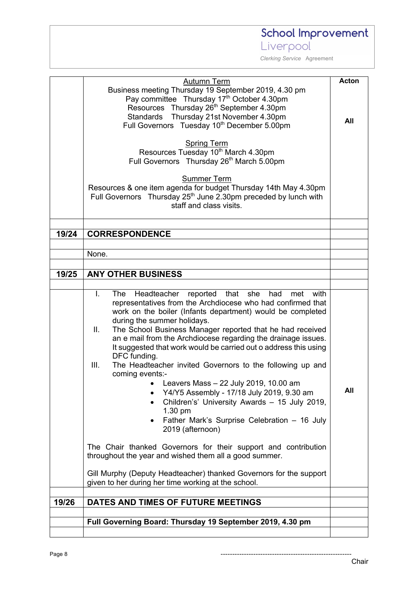School Improvement

Liverpool

|       | Autumn Term                                                                 | <b>Acton</b> |
|-------|-----------------------------------------------------------------------------|--------------|
|       | Business meeting Thursday 19 September 2019, 4.30 pm                        |              |
|       | Pay committee Thursday 17th October 4.30pm                                  |              |
|       | Resources Thursday 26 <sup>th</sup> September 4.30pm                        |              |
|       | Standards Thursday 21st November 4.30pm                                     | All          |
|       | Full Governors Tuesday 10 <sup>th</sup> December 5.00pm                     |              |
|       |                                                                             |              |
|       | <b>Spring Term</b>                                                          |              |
|       | Resources Tuesday 10th March 4.30pm                                         |              |
|       | Full Governors Thursday 26th March 5.00pm                                   |              |
|       |                                                                             |              |
|       | <b>Summer Term</b>                                                          |              |
|       | Resources & one item agenda for budget Thursday 14th May 4.30pm             |              |
|       | Full Governors Thursday 25 <sup>th</sup> June 2.30pm preceded by lunch with |              |
|       | staff and class visits.                                                     |              |
|       |                                                                             |              |
|       |                                                                             |              |
| 19/24 | <b>CORRESPONDENCE</b>                                                       |              |
|       |                                                                             |              |
|       | None.                                                                       |              |
|       |                                                                             |              |
| 19/25 | <b>ANY OTHER BUSINESS</b>                                                   |              |
|       |                                                                             |              |
|       | Headteacher reported that she<br>L.<br>The<br>had<br>with<br>met            |              |
|       | representatives from the Archdiocese who had confirmed that                 |              |
|       | work on the boiler (Infants department) would be completed                  |              |
|       | during the summer holidays.                                                 |              |
|       | The School Business Manager reported that he had received<br>Ш.             |              |
|       | an e mail from the Archdiocese regarding the drainage issues.               |              |
|       | It suggested that work would be carried out o address this using            |              |
|       | DFC funding.                                                                |              |
|       | III.<br>The Headteacher invited Governors to the following up and           |              |
|       | coming events:-                                                             |              |
|       | Leavers Mass - 22 July 2019, 10.00 am                                       | All          |
|       | Y4/Y5 Assembly - 17/18 July 2019, 9.30 am                                   |              |
|       | Children's' University Awards - 15 July 2019,                               |              |
|       | 1.30 pm                                                                     |              |
|       | Father Mark's Surprise Celebration - 16 July                                |              |
|       | 2019 (afternoon)                                                            |              |
|       |                                                                             |              |
|       | The Chair thanked Governors for their support and contribution              |              |
|       | throughout the year and wished them all a good summer.                      |              |
|       | Gill Murphy (Deputy Headteacher) thanked Governors for the support          |              |
|       | given to her during her time working at the school.                         |              |
|       |                                                                             |              |
| 19/26 | DATES AND TIMES OF FUTURE MEETINGS                                          |              |
|       |                                                                             |              |
|       | Full Governing Board: Thursday 19 September 2019, 4.30 pm                   |              |
|       |                                                                             |              |